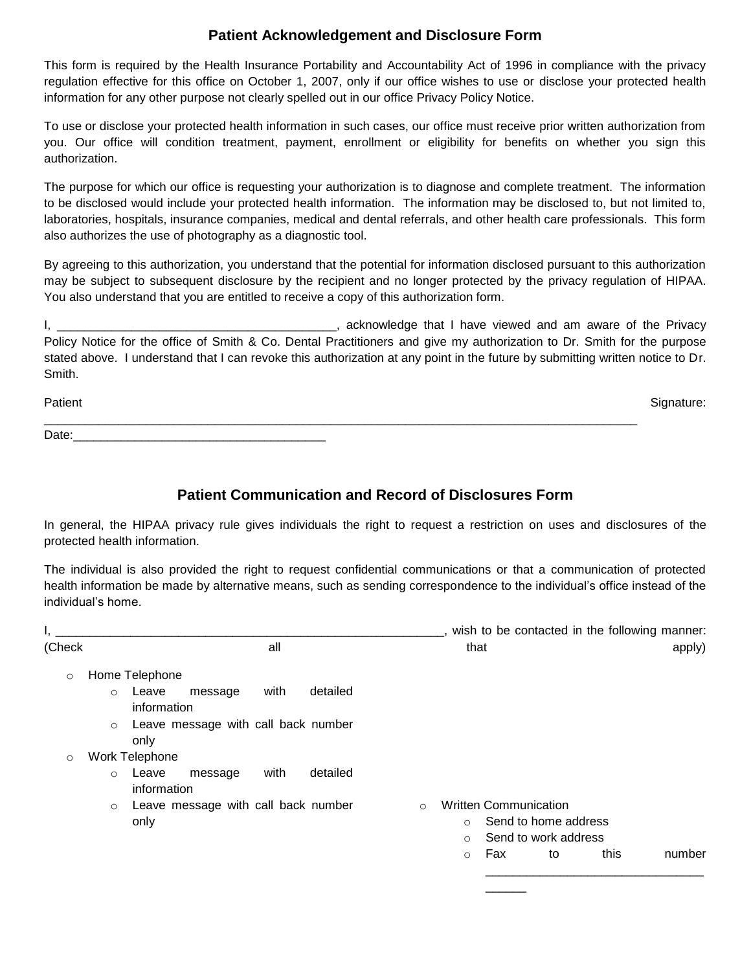## **Patient Acknowledgement and Disclosure Form**

This form is required by the Health Insurance Portability and Accountability Act of 1996 in compliance with the privacy regulation effective for this office on October 1, 2007, only if our office wishes to use or disclose your protected health information for any other purpose not clearly spelled out in our office Privacy Policy Notice.

To use or disclose your protected health information in such cases, our office must receive prior written authorization from you. Our office will condition treatment, payment, enrollment or eligibility for benefits on whether you sign this authorization.

The purpose for which our office is requesting your authorization is to diagnose and complete treatment. The information to be disclosed would include your protected health information. The information may be disclosed to, but not limited to, laboratories, hospitals, insurance companies, medical and dental referrals, and other health care professionals. This form also authorizes the use of photography as a diagnostic tool.

By agreeing to this authorization, you understand that the potential for information disclosed pursuant to this authorization may be subject to subsequent disclosure by the recipient and no longer protected by the privacy regulation of HIPAA. You also understand that you are entitled to receive a copy of this authorization form.

I, the contract of the privacy contract the contract of the privacy and am aware of the Privacy Policy Notice for the office of Smith & Co. Dental Practitioners and give my authorization to Dr. Smith for the purpose stated above. I understand that I can revoke this authorization at any point in the future by submitting written notice to Dr. **Smith** 

Patient Signature: Signature: Signature: Signature: Signature: Signature: Signature: Signature: Signature: Signature: Signature: Signature: Signature: Signature: Signature: Signature: Signature: Signature: Signature: Signa \_\_\_\_\_\_\_\_\_\_\_\_\_\_\_\_\_\_\_\_\_\_\_\_\_\_\_\_\_\_\_\_\_\_\_\_\_\_\_\_\_\_\_\_\_\_\_\_\_\_\_\_\_\_\_\_\_\_\_\_\_\_\_\_\_\_\_\_\_\_\_\_\_\_\_\_\_\_\_\_\_\_\_\_\_\_\_ Date: $\sqsubseteq$ 

## **Patient Communication and Record of Disclosures Form**

In general, the HIPAA privacy rule gives individuals the right to request a restriction on uses and disclosures of the protected health information.

The individual is also provided the right to request confidential communications or that a communication of protected health information be made by alternative means, such as sending correspondence to the individual's office instead of the individual's home.

|         |                                                                | wish to be contacted in the following manner: |
|---------|----------------------------------------------------------------|-----------------------------------------------|
| (Check  | all                                                            | that<br>apply)                                |
| $\circ$ | Home Telephone                                                 |                                               |
|         | detailed<br>with<br>Leave<br>message<br>$\circ$<br>information |                                               |
|         | Leave message with call back number<br>$\circ$<br>only         |                                               |
| $\circ$ | Work Telephone                                                 |                                               |
|         | with<br>detailed<br>o Leave<br>message<br>information          |                                               |
|         | Leave message with call back number<br>$\circ$                 | <b>Written Communication</b><br>$\circ$       |
|         | only                                                           | Send to home address<br>$\circ$               |
|         |                                                                | Send to work address<br>$\circ$               |
|         |                                                                | this<br>Fax<br>number<br>to<br>$\circ$        |
|         |                                                                |                                               |